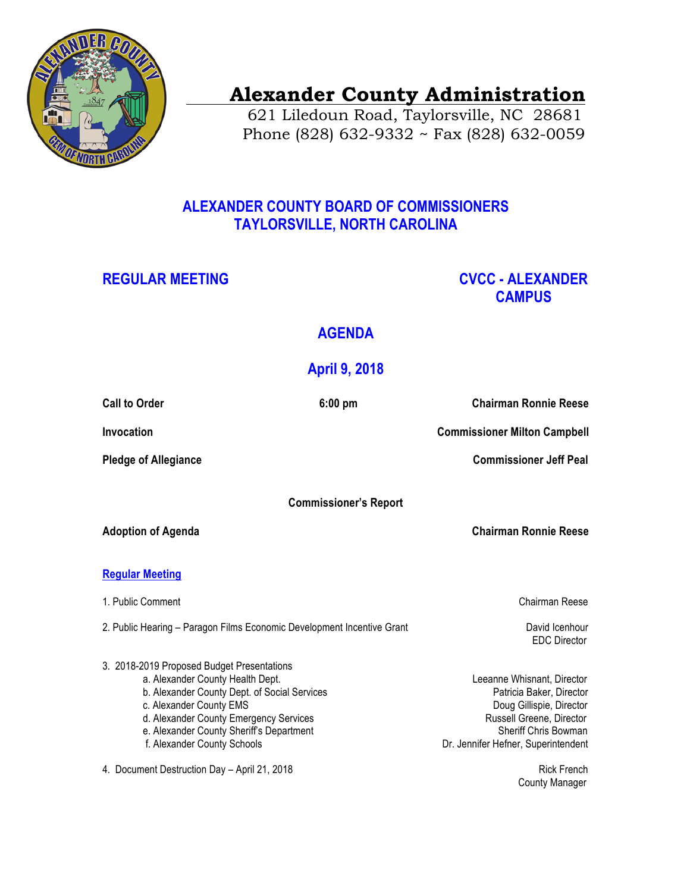

# **Alexander County Administration**

 621 Liledoun Road, Taylorsville, NC 28681 Phone (828) 632-9332 ~ Fax (828) 632-0059

### **ALEXANDER COUNTY BOARD OF COMMISSIONERS TAYLORSVILLE, NORTH CAROLINA**

#### REGULAR MEETING **CVCC - ALEXANDER CAMPUS**

## **AGENDA**

## **April 9, 2018**

| <b>Call to Order</b>                                                                                                                                                                                                                                                           | $6:00$ pm | <b>Chairman Ronnie Reese</b>                                                                                                                                                  |
|--------------------------------------------------------------------------------------------------------------------------------------------------------------------------------------------------------------------------------------------------------------------------------|-----------|-------------------------------------------------------------------------------------------------------------------------------------------------------------------------------|
| Invocation                                                                                                                                                                                                                                                                     |           | <b>Commissioner Milton Campbell</b>                                                                                                                                           |
| <b>Pledge of Allegiance</b>                                                                                                                                                                                                                                                    |           | <b>Commissioner Jeff Peal</b>                                                                                                                                                 |
| <b>Commissioner's Report</b>                                                                                                                                                                                                                                                   |           |                                                                                                                                                                               |
| <b>Adoption of Agenda</b>                                                                                                                                                                                                                                                      |           | <b>Chairman Ronnie Reese</b>                                                                                                                                                  |
| <b>Regular Meeting</b>                                                                                                                                                                                                                                                         |           |                                                                                                                                                                               |
| 1. Public Comment                                                                                                                                                                                                                                                              |           | Chairman Reese                                                                                                                                                                |
| 2. Public Hearing - Paragon Films Economic Development Incentive Grant                                                                                                                                                                                                         |           | David Icenhour<br><b>EDC</b> Director                                                                                                                                         |
| 3. 2018-2019 Proposed Budget Presentations<br>a. Alexander County Health Dept.<br>b. Alexander County Dept. of Social Services<br>c. Alexander County EMS<br>d. Alexander County Emergency Services<br>e. Alexander County Sheriff's Department<br>f. Alexander County Schools |           | Leeanne Whisnant, Director<br>Patricia Baker, Director<br>Doug Gillispie, Director<br>Russell Greene, Director<br>Sheriff Chris Bowman<br>Dr. Jennifer Hefner, Superintendent |
| 4. Document Destruction Day - April 21, 2018                                                                                                                                                                                                                                   |           | <b>Rick French</b>                                                                                                                                                            |

County Manager